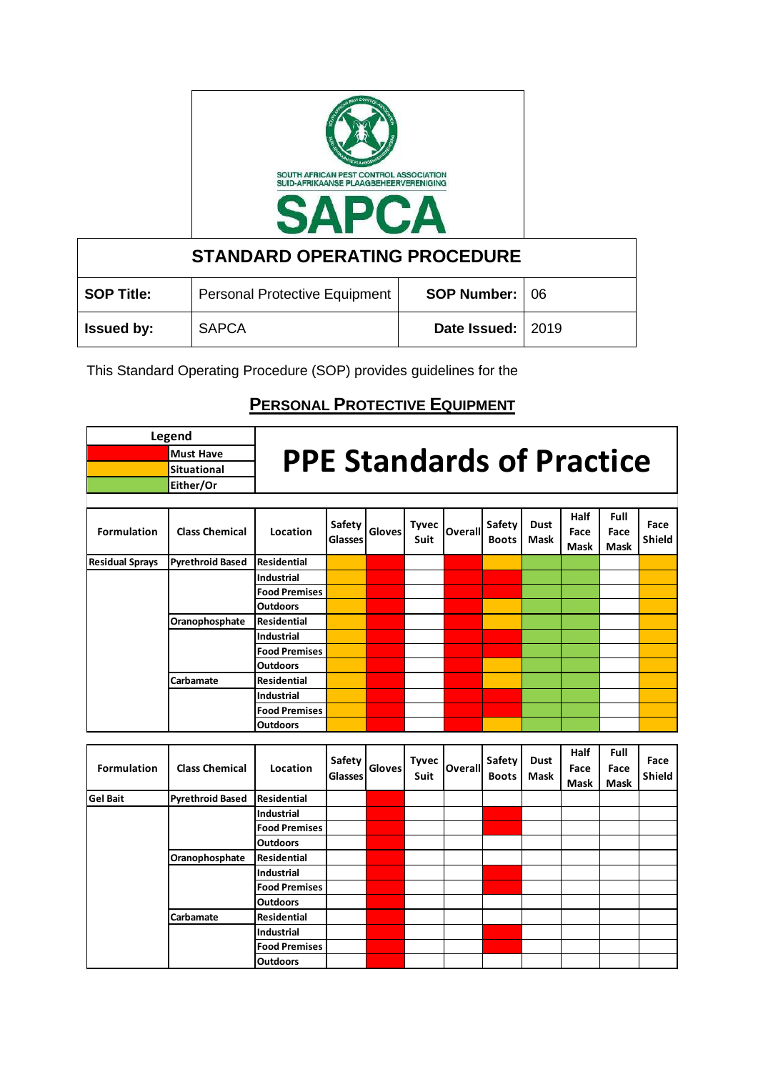

| <b>STANDARD OPERATING PROCEDURE</b> |                               |                       |  |  |  |  |  |  |  |  |
|-------------------------------------|-------------------------------|-----------------------|--|--|--|--|--|--|--|--|
| <b>SOP Title:</b>                   | Personal Protective Equipment | <b>SOP Number: 06</b> |  |  |  |  |  |  |  |  |
| <b>Issued by:</b>                   | <b>SAPCA</b>                  | Date Issued:   2019   |  |  |  |  |  |  |  |  |

This Standard Operating Procedure (SOP) provides guidelines for the

## **PERSONAL PROTECTIVE EQUIPMENT**

|                        | Legend                  |                                  |                                 |               |                      |                |                        |                            |                             |                             |                       |
|------------------------|-------------------------|----------------------------------|---------------------------------|---------------|----------------------|----------------|------------------------|----------------------------|-----------------------------|-----------------------------|-----------------------|
|                        | <b>Must Have</b>        | <b>PPE Standards of Practice</b> |                                 |               |                      |                |                        |                            |                             |                             |                       |
|                        | <b>Situational</b>      |                                  |                                 |               |                      |                |                        |                            |                             |                             |                       |
|                        | Either/Or               |                                  |                                 |               |                      |                |                        |                            |                             |                             |                       |
|                        |                         |                                  |                                 |               |                      |                |                        |                            |                             |                             |                       |
| <b>Formulation</b>     | <b>Class Chemical</b>   | Location                         | Safety<br><b>Glasses</b>        | <b>Gloves</b> | <b>Tyvec</b><br>Suit | Overall        | Safety<br><b>Boots</b> | <b>Dust</b><br>Mask        | Half<br>Face<br>Mask        | Full<br>Face<br><b>Mask</b> | Face<br><b>Shield</b> |
| <b>Residual Sprays</b> | <b>Pyrethroid Based</b> | <b>Residential</b>               |                                 |               |                      |                |                        |                            |                             |                             |                       |
|                        |                         | <b>Industrial</b>                |                                 |               |                      |                |                        |                            |                             |                             |                       |
|                        |                         | <b>Food Premises</b>             |                                 |               |                      |                |                        |                            |                             |                             |                       |
|                        |                         | <b>Outdoors</b>                  |                                 |               |                      |                |                        |                            |                             |                             |                       |
|                        | Oranophosphate          | <b>Residential</b>               |                                 |               |                      |                |                        |                            |                             |                             |                       |
|                        |                         | <b>Industrial</b>                |                                 |               |                      |                |                        |                            |                             |                             |                       |
|                        |                         | <b>Food Premises</b>             |                                 |               |                      |                |                        |                            |                             |                             |                       |
|                        |                         | <b>Outdoors</b>                  |                                 |               |                      |                |                        |                            |                             |                             |                       |
|                        | Carbamate               | <b>Residential</b>               |                                 |               |                      |                |                        |                            |                             |                             |                       |
|                        |                         | <b>Industrial</b>                |                                 |               |                      |                |                        |                            |                             |                             |                       |
|                        |                         | <b>Food Premises</b>             |                                 |               |                      |                |                        |                            |                             |                             |                       |
|                        |                         | <b>Outdoors</b>                  |                                 |               |                      |                |                        |                            |                             |                             |                       |
|                        |                         |                                  |                                 |               |                      |                |                        |                            |                             |                             |                       |
| <b>Formulation</b>     | <b>Class Chemical</b>   | Location                         | <b>Safety</b><br><b>Glasses</b> | Gloves        | <b>Tyvec</b><br>Suit | <b>Overall</b> | Safety<br><b>Boots</b> | <b>Dust</b><br><b>Mask</b> | Half<br>Face<br><b>Mask</b> | Full<br>Face<br><b>Mask</b> | Face<br><b>Shield</b> |
| <b>Gel Bait</b>        | <b>Pyrethroid Based</b> | <b>Residential</b>               |                                 |               |                      |                |                        |                            |                             |                             |                       |
|                        |                         | <b>Industrial</b>                |                                 |               |                      |                |                        |                            |                             |                             |                       |
|                        |                         | <b>Enad Promises</b>             |                                 |               |                      |                |                        |                            |                             |                             |                       |

|  | .              |                      |  |  |  |  |  |
|--|----------------|----------------------|--|--|--|--|--|
|  |                | Industrial           |  |  |  |  |  |
|  |                | <b>Food Premises</b> |  |  |  |  |  |
|  |                | <b>Outdoors</b>      |  |  |  |  |  |
|  | Oranophosphate | Residential          |  |  |  |  |  |
|  |                | Industrial           |  |  |  |  |  |
|  |                | <b>Food Premises</b> |  |  |  |  |  |
|  |                | <b>Outdoors</b>      |  |  |  |  |  |
|  | Carbamate      | Residential          |  |  |  |  |  |
|  |                | Industrial           |  |  |  |  |  |
|  |                | <b>Food Premises</b> |  |  |  |  |  |
|  |                | <b>Outdoors</b>      |  |  |  |  |  |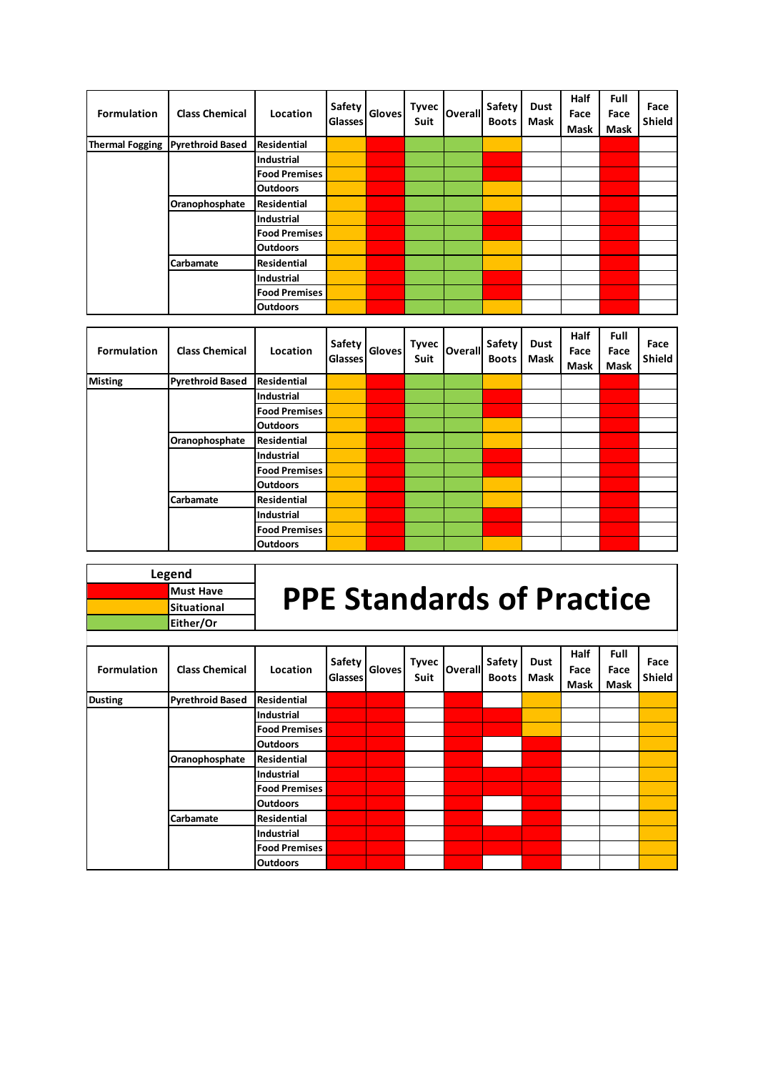| <b>Formulation</b> | <b>Class Chemical</b>            | Location             | <b>Safety</b><br><b>Glasses</b> | <b>Gloves</b> | <b>Tyvec</b><br>Suit | Overall | Safety<br><b>Boots</b> | <b>Dust</b><br>Mask | Half<br>Face<br>Mask | Full<br>Face<br>Mask | Face<br><b>Shield</b> |
|--------------------|----------------------------------|----------------------|---------------------------------|---------------|----------------------|---------|------------------------|---------------------|----------------------|----------------------|-----------------------|
|                    | Thermal Fogging Pyrethroid Based | Residential          |                                 |               |                      |         |                        |                     |                      |                      |                       |
|                    |                                  | Industrial           |                                 |               |                      |         |                        |                     |                      |                      |                       |
|                    |                                  | <b>Food Premises</b> |                                 |               |                      |         |                        |                     |                      |                      |                       |
|                    |                                  | <b>Outdoors</b>      |                                 |               |                      |         |                        |                     |                      |                      |                       |
|                    | Oranophosphate                   | Residential          |                                 |               |                      |         |                        |                     |                      |                      |                       |
|                    |                                  | <b>Industrial</b>    |                                 |               |                      |         |                        |                     |                      |                      |                       |
|                    |                                  | <b>Food Premises</b> |                                 |               |                      |         |                        |                     |                      |                      |                       |
|                    |                                  | <b>Outdoors</b>      |                                 |               |                      |         |                        |                     |                      |                      |                       |
|                    | Carbamate                        | Residential          |                                 |               |                      |         |                        |                     |                      |                      |                       |
|                    |                                  | Industrial           |                                 |               |                      |         |                        |                     |                      |                      |                       |
|                    |                                  | <b>Food Premises</b> |                                 |               |                      |         |                        |                     |                      |                      |                       |
|                    |                                  | Outdoors             |                                 |               |                      |         |                        |                     |                      |                      |                       |

| <b>Formulation</b> | <b>Class Chemical</b>   | Location             | Safety<br><b>Glasses</b> | <b>Gloves</b> | <b>Tyvec</b><br>Suit | <b>Overall</b> | Safety<br><b>Boots</b> | Dust<br>Mask | Half<br>Face<br>Mask | Full<br>Face<br>Mask | Face<br><b>Shield</b> |
|--------------------|-------------------------|----------------------|--------------------------|---------------|----------------------|----------------|------------------------|--------------|----------------------|----------------------|-----------------------|
| <b>Misting</b>     | <b>Pyrethroid Based</b> | <b>Residential</b>   |                          |               |                      |                |                        |              |                      |                      |                       |
|                    |                         | <b>Industrial</b>    |                          |               |                      |                |                        |              |                      |                      |                       |
|                    |                         | <b>Food Premises</b> |                          |               |                      |                |                        |              |                      |                      |                       |
|                    |                         | <b>Outdoors</b>      |                          |               |                      |                |                        |              |                      |                      |                       |
|                    | Oranophosphate          | Residential          |                          |               |                      |                |                        |              |                      |                      |                       |
|                    |                         | <b>Industrial</b>    |                          |               |                      |                |                        |              |                      |                      |                       |
|                    |                         | <b>Food Premises</b> |                          |               |                      |                |                        |              |                      |                      |                       |
|                    |                         | <b>Outdoors</b>      |                          |               |                      |                |                        |              |                      |                      |                       |
|                    | Carbamate               | <b>Residential</b>   |                          |               |                      |                |                        |              |                      |                      |                       |
|                    |                         | <b>Industrial</b>    |                          |               |                      |                |                        |              |                      |                      |                       |
|                    |                         | <b>Food Premises</b> |                          |               |                      |                |                        |              |                      |                      |                       |
|                    |                         | <b>Outdoors</b>      |                          |               |                      |                |                        |              |                      |                      |                       |

| Legend             |                                  |
|--------------------|----------------------------------|
| <b>Must Have</b>   | <b>PPE Standards of Practice</b> |
| <b>Situational</b> |                                  |
| Either/Or          |                                  |

 $\overline{\phantom{a}}$ 

| <b>Formulation</b> | <b>Class Chemical</b>   | Location             | <b>Safety</b><br><b>Glasses</b> | <b>Gloves</b> | <b>Tyvec</b><br>Suit | <b>Overall</b> | Safety<br><b>Boots</b> | <b>Dust</b><br>Mask | Half<br>Face<br>Mask | Full<br>Face<br>Mask | Face<br><b>Shield</b> |
|--------------------|-------------------------|----------------------|---------------------------------|---------------|----------------------|----------------|------------------------|---------------------|----------------------|----------------------|-----------------------|
| <b>Dusting</b>     | <b>Pyrethroid Based</b> | <b>Residential</b>   |                                 |               |                      |                |                        |                     |                      |                      |                       |
|                    |                         | <b>Industrial</b>    |                                 |               |                      |                |                        |                     |                      |                      |                       |
|                    |                         | <b>Food Premises</b> |                                 |               |                      |                |                        |                     |                      |                      |                       |
|                    |                         | <b>Outdoors</b>      |                                 |               |                      |                |                        |                     |                      |                      |                       |
|                    | Oranophosphate          | <b>Residential</b>   |                                 |               |                      |                |                        |                     |                      |                      |                       |
|                    |                         | Industrial           |                                 |               |                      |                |                        |                     |                      |                      |                       |
|                    |                         | <b>Food Premises</b> |                                 |               |                      |                |                        |                     |                      |                      |                       |
|                    |                         | <b>Outdoors</b>      |                                 |               |                      |                |                        |                     |                      |                      |                       |
|                    | Carbamate               | Residential          |                                 |               |                      |                |                        |                     |                      |                      |                       |
|                    |                         | <b>Industrial</b>    |                                 |               |                      |                |                        |                     |                      |                      |                       |
|                    |                         | <b>Food Premises</b> |                                 |               |                      |                |                        |                     |                      |                      |                       |
|                    |                         | <b>Outdoors</b>      |                                 |               |                      |                |                        |                     |                      |                      |                       |